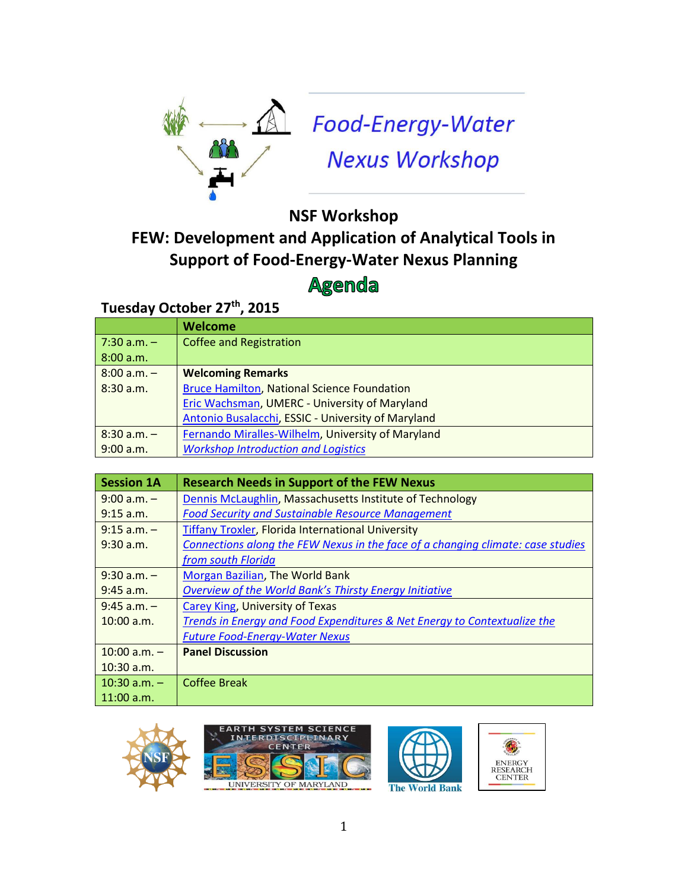

Food-Energy-Water **Nexus Workshop** 

## **NSF Workshop FEW: Development and Application of Analytical Tools in Support of Food-Energy-Water Nexus Planning Agenda**

## **Tuesday October 27th, 2015**

|                  | <b>Welcome</b>                                     |
|------------------|----------------------------------------------------|
| $ 7:30$ a.m. $-$ | <b>Coffee and Registration</b>                     |
| 8:00 a.m.        |                                                    |
| $8:00 a.m. -$    | <b>Welcoming Remarks</b>                           |
| 8:30 a.m.        | <b>Bruce Hamilton, National Science Foundation</b> |
|                  | Eric Wachsman, UMERC - University of Maryland      |
|                  | Antonio Busalacchi, ESSIC - University of Maryland |
| $8:30$ a.m. $-$  | Fernando Miralles-Wilhelm, University of Maryland  |
| 9:00 a.m.        | <b>Workshop Introduction and Logistics</b>         |

| <b>Session 1A</b> | <b>Research Needs in Support of the FEW Nexus</b>                               |
|-------------------|---------------------------------------------------------------------------------|
| $9:00 a.m. -$     | Dennis McLaughlin, Massachusetts Institute of Technology                        |
| $9:15$ a.m.       | <b>Food Security and Sustainable Resource Management</b>                        |
| $9:15$ a.m. $-$   | <b>Tiffany Troxler, Florida International University</b>                        |
| $9:30$ a.m.       | Connections along the FEW Nexus in the face of a changing climate: case studies |
|                   | from south Florida                                                              |
| $9:30$ a.m. $-$   | <b>Morgan Bazilian, The World Bank</b>                                          |
| $9:45$ a.m.       | Overview of the World Bank's Thirsty Energy Initiative                          |
| $9:45$ a.m. $-$   | Carey King, University of Texas                                                 |
| $10:00$ a.m.      | Trends in Energy and Food Expenditures & Net Energy to Contextualize the        |
|                   | <b>Future Food-Energy-Water Nexus</b>                                           |
| $10:00 a.m. -$    | <b>Panel Discussion</b>                                                         |
| $10:30$ a.m.      |                                                                                 |
| $10:30$ a.m. $-$  | Coffee Break                                                                    |
| $11:00$ a.m.      |                                                                                 |





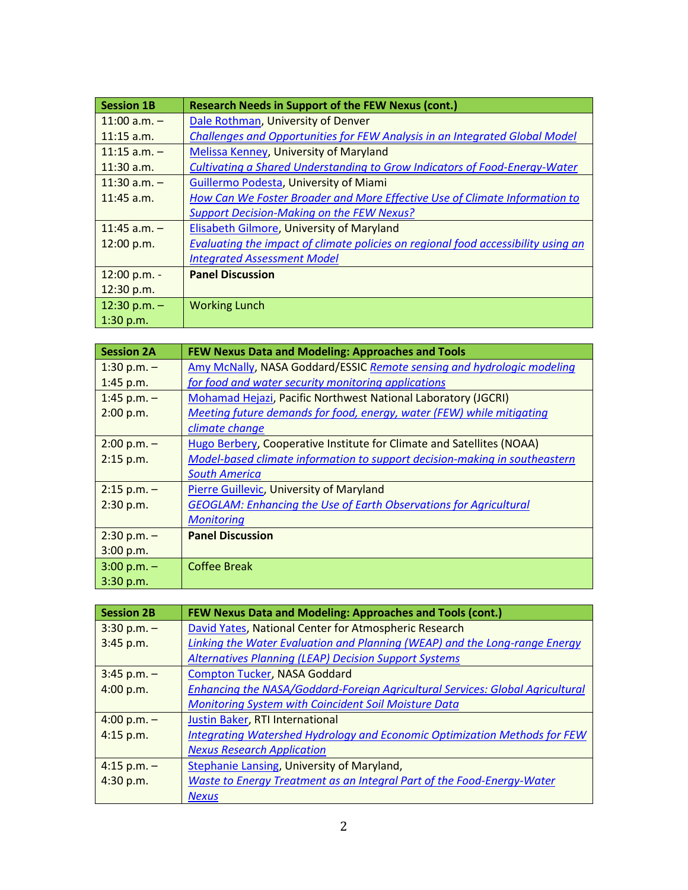| <b>Session 1B</b> | <b>Research Needs in Support of the FEW Nexus (cont.)</b>                         |
|-------------------|-----------------------------------------------------------------------------------|
| $11:00$ a.m. $-$  | Dale Rothman, University of Denver                                                |
| $11:15$ a.m.      | Challenges and Opportunities for FEW Analysis in an Integrated Global Model       |
| $11:15$ a.m. -    | Melissa Kenney, University of Maryland                                            |
| $11:30$ a.m.      | Cultivating a Shared Understanding to Grow Indicators of Food-Energy-Water        |
| $11:30$ a.m. $-$  | Guillermo Podesta, University of Miami                                            |
| $11:45$ a.m.      | How Can We Foster Broader and More Effective Use of Climate Information to        |
|                   | <b>Support Decision-Making on the FEW Nexus?</b>                                  |
| $11:45$ a.m. $-$  | Elisabeth Gilmore, University of Maryland                                         |
| 12:00 p.m.        | Evaluating the impact of climate policies on regional food accessibility using an |
|                   | <b>Integrated Assessment Model</b>                                                |
| 12:00 p.m. -      | <b>Panel Discussion</b>                                                           |
| 12:30 p.m.        |                                                                                   |
| 12:30 p.m. $-$    | <b>Working Lunch</b>                                                              |
| 1:30 p.m.         |                                                                                   |

| <b>Session 2A</b> | FEW Nexus Data and Modeling: Approaches and Tools                          |
|-------------------|----------------------------------------------------------------------------|
| 1:30 p.m. $-$     | Amy McNally, NASA Goddard/ESSIC Remote sensing and hydrologic modeling     |
| 1:45 p.m.         | for food and water security monitoring applications                        |
| 1:45 p.m. $-$     | Mohamad Hejazi, Pacific Northwest National Laboratory (JGCRI)              |
| 2:00 p.m.         | Meeting future demands for food, energy, water (FEW) while mitigating      |
|                   | climate change                                                             |
| $2:00 p.m. -$     | Hugo Berbery, Cooperative Institute for Climate and Satellites (NOAA)      |
| 2:15 p.m.         | Model-based climate information to support decision-making in southeastern |
|                   | <b>South America</b>                                                       |
| $2:15$ p.m. $-$   | Pierre Guillevic, University of Maryland                                   |
| 2:30 p.m.         | <b>GEOGLAM: Enhancing the Use of Earth Observations for Agricultural</b>   |
|                   | <b>Monitoring</b>                                                          |
| $2:30 p.m. -$     | <b>Panel Discussion</b>                                                    |
| 3:00 p.m.         |                                                                            |
| $3:00 p.m. -$     | <b>Coffee Break</b>                                                        |
| 3:30 p.m.         |                                                                            |

| <b>Session 2B</b> | FEW Nexus Data and Modeling: Approaches and Tools (cont.)                        |
|-------------------|----------------------------------------------------------------------------------|
| $3:30 p.m. -$     | David Yates, National Center for Atmospheric Research                            |
| 3:45 p.m.         | Linking the Water Evaluation and Planning (WEAP) and the Long-range Energy       |
|                   | <b>Alternatives Planning (LEAP) Decision Support Systems</b>                     |
| $3:45$ p.m. $-$   | <b>Compton Tucker, NASA Goddard</b>                                              |
| 4:00 p.m.         | Enhancing the NASA/Goddard-Foreign Agricultural Services: Global Agricultural    |
|                   | <b>Monitoring System with Coincident Soil Moisture Data</b>                      |
| $4:00 p.m. -$     | <b>Justin Baker, RTI International</b>                                           |
| $4:15$ p.m.       | <b>Integrating Watershed Hydrology and Economic Optimization Methods for FEW</b> |
|                   | <b>Nexus Research Application</b>                                                |
| $4:15$ p.m. $-$   | Stephanie Lansing, University of Maryland,                                       |
| 4:30 p.m.         | Waste to Energy Treatment as an Integral Part of the Food-Energy-Water           |
|                   | <b>Nexus</b>                                                                     |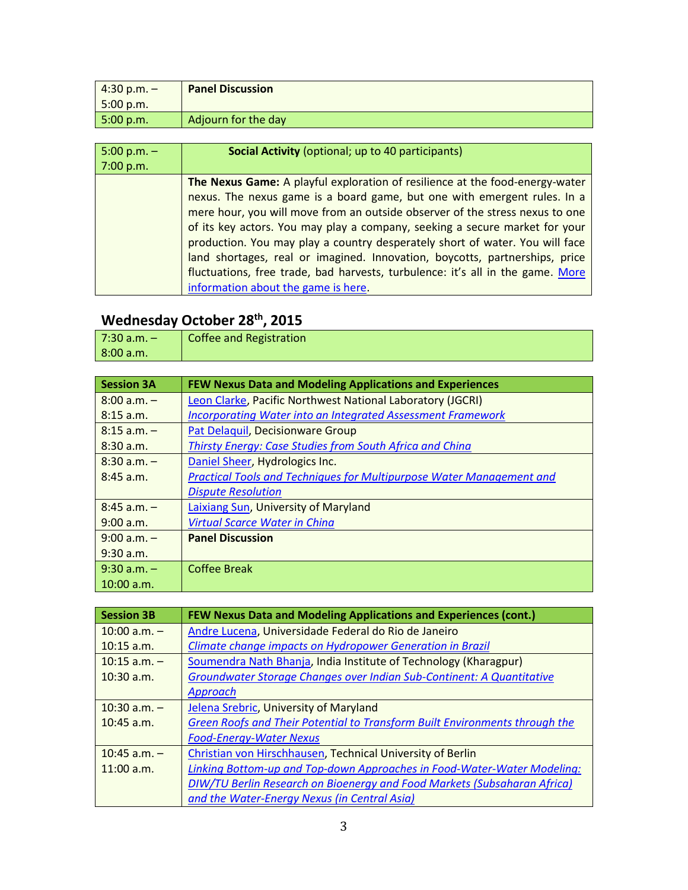| $4:30 p.m. -$                   | <b>Panel Discussion</b> |
|---------------------------------|-------------------------|
| 5:00 p.m.                       |                         |
| $\vert 5:00 \text{ p.m.} \vert$ | Adjourn for the day     |

| $5:00 p.m. -$ | <b>Social Activity</b> (optional; up to 40 participants)                       |
|---------------|--------------------------------------------------------------------------------|
| 7:00 p.m.     |                                                                                |
|               | The Nexus Game: A playful exploration of resilience at the food-energy-water   |
|               | nexus. The nexus game is a board game, but one with emergent rules. In a       |
|               | mere hour, you will move from an outside observer of the stress nexus to one   |
|               | of its key actors. You may play a company, seeking a secure market for your    |
|               | production. You may play a country desperately short of water. You will face   |
|               | land shortages, real or imagined. Innovation, boycotts, partnerships, price    |
|               | fluctuations, free trade, bad harvests, turbulence: it's all in the game. More |
|               | information about the game is here.                                            |

## **Wednesday October 28th, 2015**

| 7:30 a.m. $-$ | <b>Coffee and Registration</b> |
|---------------|--------------------------------|
| 8:00 a.m.     |                                |

| <b>Session 3A</b> | FEW Nexus Data and Modeling Applications and Experiences             |
|-------------------|----------------------------------------------------------------------|
| $8:00 a.m. -$     | Leon Clarke, Pacific Northwest National Laboratory (JGCRI)           |
| $8:15$ a.m.       | <b>Incorporating Water into an Integrated Assessment Framework</b>   |
| $8:15$ a.m. -     | Pat Delaguil, Decisionware Group                                     |
| 8:30 a.m.         | <b>Thirsty Energy: Case Studies from South Africa and China</b>      |
| $8:30$ a.m. $-$   | Daniel Sheer, Hydrologics Inc.                                       |
| $8:45$ a.m.       | Practical Tools and Techniques for Multipurpose Water Management and |
|                   | <b>Dispute Resolution</b>                                            |
| $8:45 a.m. -$     | Laixiang Sun, University of Maryland                                 |
| 9:00 a.m.         | <b>Virtual Scarce Water in China</b>                                 |
| $9:00 a.m. -$     | <b>Panel Discussion</b>                                              |
| $9:30$ a.m.       |                                                                      |
| $9:30$ a.m. $-$   | <b>Coffee Break</b>                                                  |
| $10:00$ a.m.      |                                                                      |

| <b>Session 3B</b> | FEW Nexus Data and Modeling Applications and Experiences (cont.)            |
|-------------------|-----------------------------------------------------------------------------|
| $10:00$ a.m. $-$  | Andre Lucena, Universidade Federal do Rio de Janeiro                        |
| $10:15$ a.m.      | Climate change impacts on Hydropower Generation in Brazil                   |
| $10:15$ a.m. $-$  | Soumendra Nath Bhanja, India Institute of Technology (Kharagpur)            |
| $10:30$ a.m.      | Groundwater Storage Changes over Indian Sub-Continent: A Quantitative       |
|                   | Approach                                                                    |
| $10:30$ a.m. $-$  | Jelena Srebric, University of Maryland                                      |
| $10:45$ a.m.      | Green Roofs and Their Potential to Transform Built Environments through the |
|                   | <b>Food-Energy-Water Nexus</b>                                              |
| $10:45$ a.m. $-$  | Christian von Hirschhausen, Technical University of Berlin                  |
| 11:00 a.m.        | Linking Bottom-up and Top-down Approaches in Food-Water-Water Modeling:     |
|                   | DIW/TU Berlin Research on Bioenergy and Food Markets (Subsaharan Africa)    |
|                   | and the Water-Energy Nexus (in Central Asia)                                |